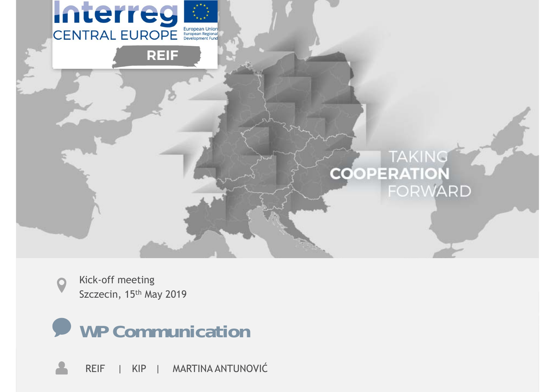

Kick-off meeting Szczecin, 15<sup>th</sup> May 2019



REIF | KIP | MARTINA ANTUNOVIĆ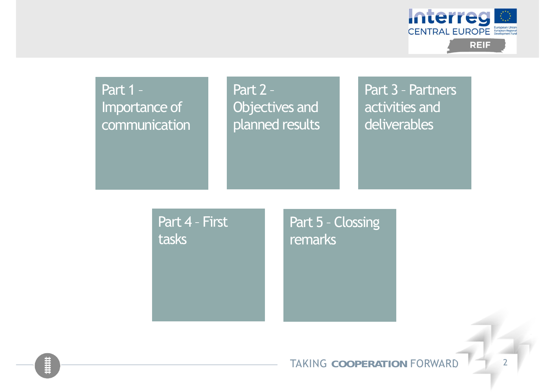

Part 2 – Objectives and planned results

Part 3 – Partners activities and deliverables

Part 4 – First tasks

Part 5 – Clossing remarks

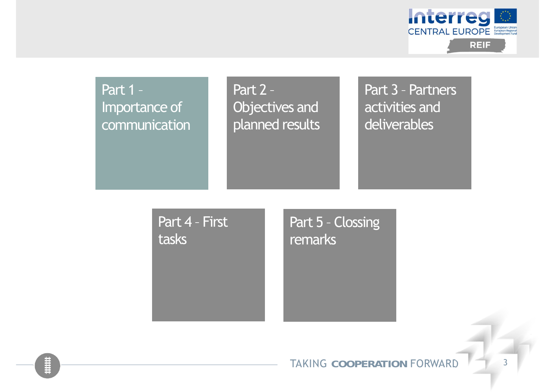

Part 2 – Objectives and planned results

Part 3 – Partners activities and deliverables

Part 4 – First tasks

Part 5 – Clossing remarks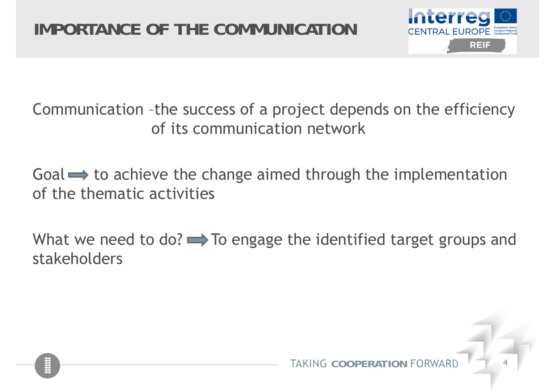

Communication –the success of a project depends on the efficiency of its communication network

Goal  $\implies$  to achieve the change aimed through the implementation of the thematic activities

What we need to do?  $\rightarrow$  To engage the identified target groups and stakeholders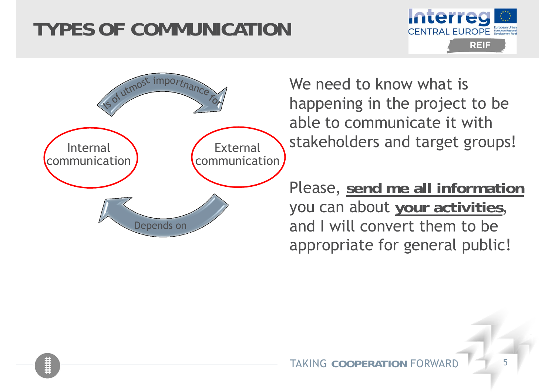# **TYPES OF COMMUNICATION**





We need to know what is happening in the project to be able to communicate it with stakeholders and target groups!

Please, **send me all information** you can about **your activities**, and I will convert them to be appropriate for general public!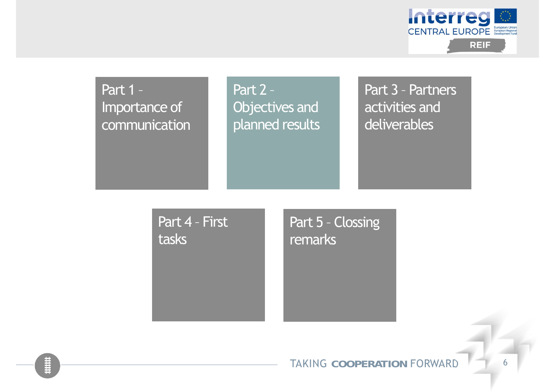

Part 2 – Objectives and planned results

Part 3 – Partners activities and deliverables

Part 4 – First tasks

Part 5 – Clossing remarks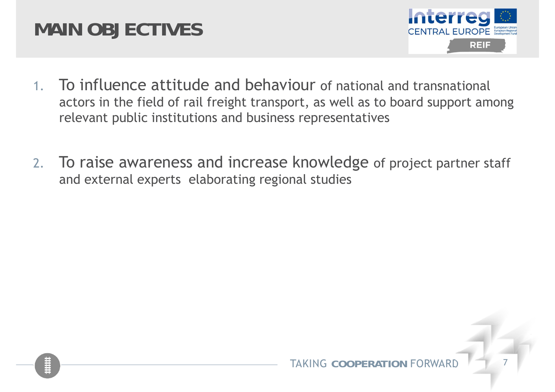# **MAIN OBJECTIVES**



- 1. To influence attitude and behaviour of national and transnational actors in the field of rail freight transport, as well as to board support among relevant public institutions and business representatives
- 2. To raise awareness and increase knowledge of project partner staff and external experts elaborating regional studies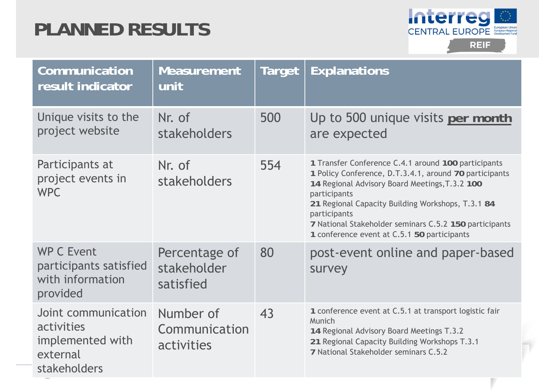# **PLANNED RESULTS**



| Communication<br>result indicator                                                 | <b>Measurement</b><br>unit                | <b>Target</b> | <b>Explanations</b>                                                                                                                                                                                                                                                                                                                                           |
|-----------------------------------------------------------------------------------|-------------------------------------------|---------------|---------------------------------------------------------------------------------------------------------------------------------------------------------------------------------------------------------------------------------------------------------------------------------------------------------------------------------------------------------------|
| Unique visits to the<br>project website                                           | Nr. of<br>stakeholders                    | 500           | Up to 500 unique visits per month<br>are expected                                                                                                                                                                                                                                                                                                             |
| Participants at<br>project events in<br><b>WPC</b>                                | Nr. of<br><b>stakeholders</b>             | 554           | 1 Transfer Conference C.4.1 around 100 participants<br>1 Policy Conference, D.T.3.4.1, around 70 participants<br>14 Regional Advisory Board Meetings, T.3.2 100<br>participants<br>21 Regional Capacity Building Workshops, T.3.1 84<br>participants<br>7 National Stakeholder seminars C.5.2 150 participants<br>1 conference event at C.5.1 50 participants |
| <b>WP C Event</b><br>participants satisfied<br>with information<br>provided       | Percentage of<br>stakeholder<br>satisfied | 80            | post-event online and paper-based<br>survey                                                                                                                                                                                                                                                                                                                   |
| Joint communication<br>activities<br>implemented with<br>external<br>stakeholders | Number of<br>Communication<br>activities  | 43            | 1 conference event at C.5.1 at transport logistic fair<br>Munich<br>14 Regional Advisory Board Meetings T.3.2<br>21 Regional Capacity Building Workshops T.3.1<br>7 National Stakeholder seminars C.5.2                                                                                                                                                       |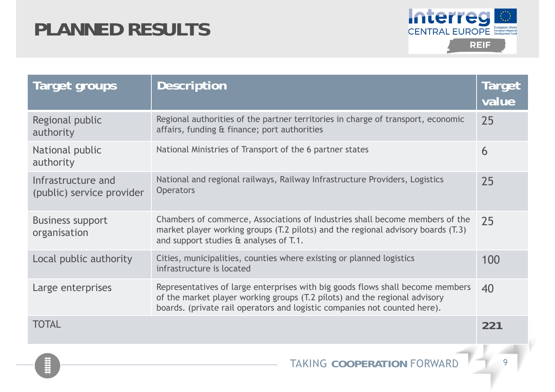# **PLANNED RESULTS**



| Target groups                                   | <b>Description</b>                                                                                                                                                                                                                        | <b>Target</b><br>value |
|-------------------------------------------------|-------------------------------------------------------------------------------------------------------------------------------------------------------------------------------------------------------------------------------------------|------------------------|
| Regional public<br>authority                    | Regional authorities of the partner territories in charge of transport, economic<br>affairs, funding & finance; port authorities                                                                                                          | 25                     |
| National public<br>authority                    | National Ministries of Transport of the 6 partner states                                                                                                                                                                                  | 6                      |
| Infrastructure and<br>(public) service provider | National and regional railways, Railway Infrastructure Providers, Logistics<br><b>Operators</b>                                                                                                                                           | 25                     |
| <b>Business support</b><br>organisation         | Chambers of commerce, Associations of Industries shall become members of the<br>market player working groups (T.2 pilots) and the regional advisory boards (T.3)<br>and support studies & analyses of T.1.                                | 25                     |
| Local public authority                          | Cities, municipalities, counties where existing or planned logistics<br>infrastructure is located                                                                                                                                         | 100                    |
| Large enterprises                               | Representatives of large enterprises with big goods flows shall become members<br>of the market player working groups (T.2 pilots) and the regional advisory<br>boards. (private rail operators and logistic companies not counted here). | 40                     |
| <b>TOTAL</b>                                    |                                                                                                                                                                                                                                           | 221                    |
|                                                 |                                                                                                                                                                                                                                           |                        |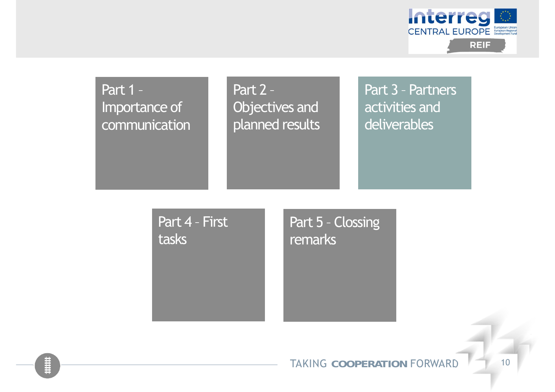

Part 2 – Objectives and planned results

Part 3 – Partners activities and deliverables

Part 4 – First tasks

Part 5 – Clossing remarks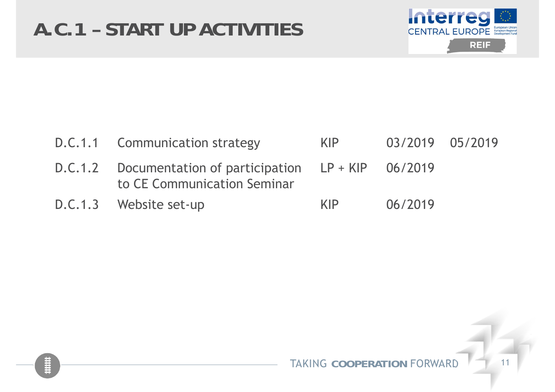

| D.C.1.1 Communication strategy                                                             | KIP - | 03/2019 05/2019 |  |
|--------------------------------------------------------------------------------------------|-------|-----------------|--|
| $D.C.1.2$ Documentation of participation $LP + KIP$ 06/2019<br>to CE Communication Seminar |       |                 |  |
| D.C.1.3 Website set-up                                                                     | KIP.  | 06/2019         |  |

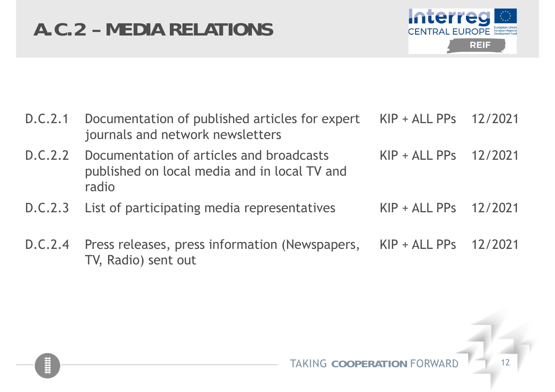# **A.C.2 – MEDIA RELATIONS**



|         | D.C.2.1 Documentation of published articles for expert KIP + ALL PPs 12/2021<br>journals and network newsletters |                        |  |
|---------|------------------------------------------------------------------------------------------------------------------|------------------------|--|
| D.C.2.2 | Documentation of articles and broadcasts<br>published on local media and in local TV and<br>radio                | $KIP + ALLPPs$ 12/2021 |  |
|         | D.C.2.3 List of participating media representatives                                                              | $KIP + ALLPPs$ 12/2021 |  |
|         | D.C.2.4 Press releases, press information (Newspapers, KIP + ALL PPs 12/2021<br>TV, Radio) sent out              |                        |  |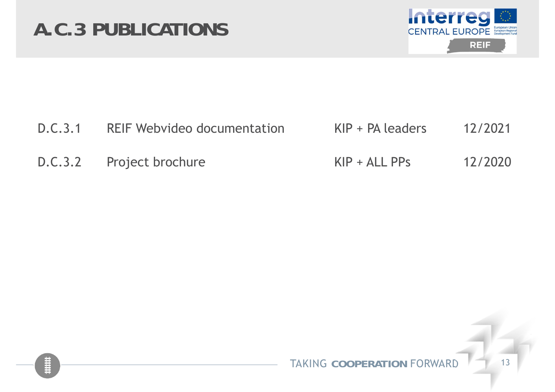# **A.C.3 PUBLICATIONS**



| D.C.3.1 | <b>REIF Webvideo documentation</b> | $KIP + PA$ leaders | 12/2021 |
|---------|------------------------------------|--------------------|---------|
|         | D.C.3.2 Project brochure           | $KIP + ALLPPS$     | 12/2020 |

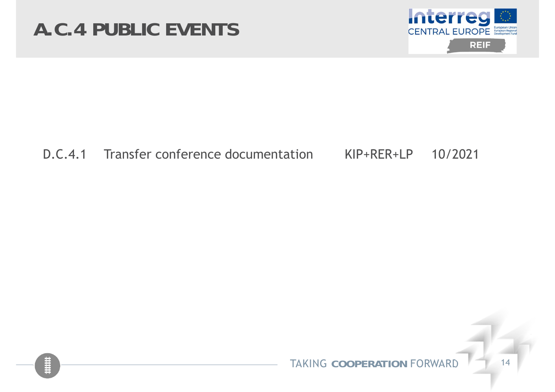# **A.C.4 PUBLIC EVENTS**



### D.C.4.1 Transfer conference documentation KIP+RER+LP 10/2021

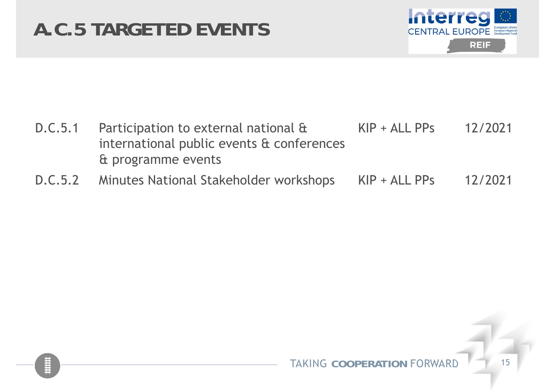# **A.C.5 TARGETED EVENTS**



| D.C.5.1 Participation to external national &<br>international public events & conferences | $KIP + ALLPPS$ | 12/2021 |
|-------------------------------------------------------------------------------------------|----------------|---------|
| & programme events                                                                        |                |         |
| D.C.5.2 Minutes National Stakeholder workshops KIP + ALL PPs                              |                | 12/2021 |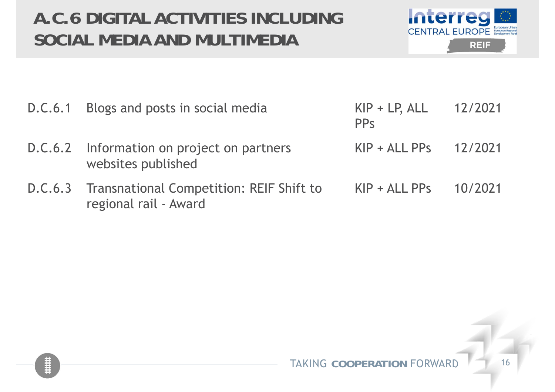## **A.C.6 DIGITAL ACTIVITIES INCLUDING SOCIAL MEDIA AND MULTIMEDIA**



| D.C.6.1 Blogs and posts in social media                                   | $KIP + LP, ALL$ 12/2021<br><b>PP<sub>S</sub></b> |  |
|---------------------------------------------------------------------------|--------------------------------------------------|--|
| D.C.6.2 Information on project on partners<br>websites published          | $KIP + ALLPPs$ 12/2021                           |  |
| D.C.6.3 Transnational Competition: REIF Shift to<br>regional rail - Award | $KIP + ALLPPs$ 10/2021                           |  |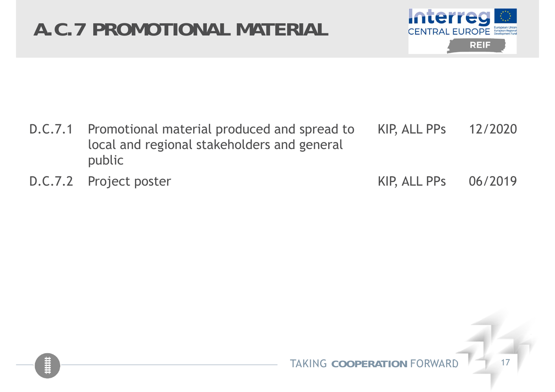# **A.C.7 PROMOTIONAL MATERIAL**



| D.C.7.1 Promotional material produced and spread to KIP, ALL PPs 12/2020<br>local and regional stakeholders and general<br>public |                      |  |
|-----------------------------------------------------------------------------------------------------------------------------------|----------------------|--|
| D.C.7.2 Project poster                                                                                                            | KIP, ALL PPs 06/2019 |  |

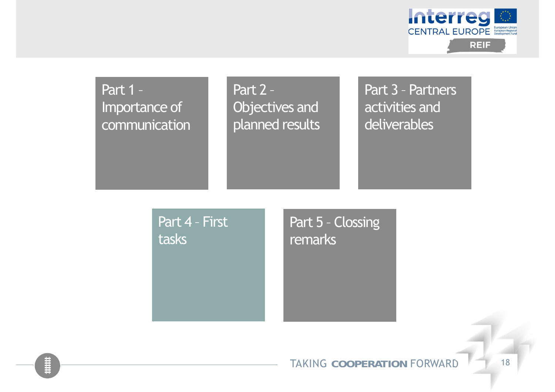

Part 2 – Objectives and planned results

Part 3 – Partners activities and deliverables

Part 4 – First tasks

Part 5 – Clossing remarks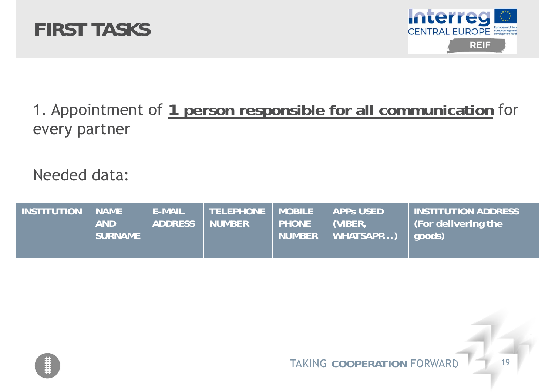



## 1. Appointment of **1 person responsible for all communication** for every partner

Needed data:

| <b>INSTITUTION</b> | <b>NAME</b><br><b>AND</b><br><b>SURNAME</b> | <b>E-MAIL</b><br><b>ADDRESS</b> | <b>TELEPHONE</b><br><b>NUMBER</b> | <b>MOBILE</b><br><b>PHONE</b><br><b>NUMBER</b> | <b>APPS USED</b><br>(VIBER)<br>WHATSAPP) | <b>INSTITUTION ADDRESS</b><br>(For delivering the<br>  aoods) |
|--------------------|---------------------------------------------|---------------------------------|-----------------------------------|------------------------------------------------|------------------------------------------|---------------------------------------------------------------|
|--------------------|---------------------------------------------|---------------------------------|-----------------------------------|------------------------------------------------|------------------------------------------|---------------------------------------------------------------|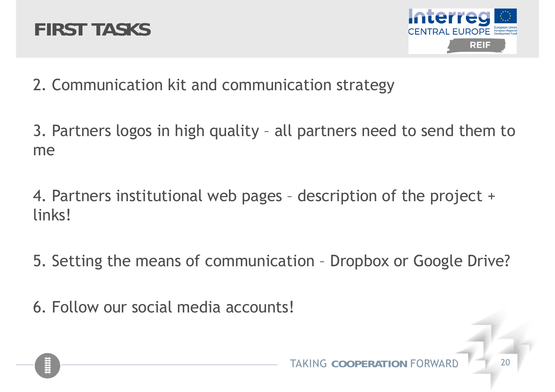



2. Communication kit and communication strategy

3. Partners logos in high quality – all partners need to send them to me

4. Partners institutional web pages – description of the project + links!

5. Setting the means of communication – Dropbox or Google Drive?

6. Follow our social media accounts!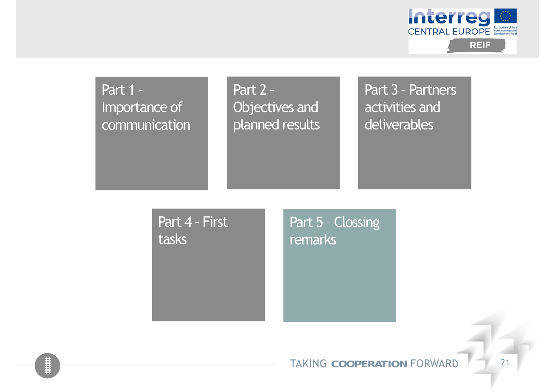

Part 2 – Objectives and planned results

Part 3 – Partners activities and deliverables

Part 4 – First tasks

Part 5 – Clossing remarks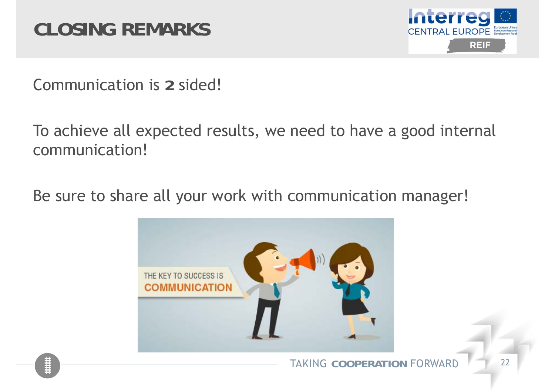

Communication is **2** sided!

To achieve all expected results, we need to have a good internal communication!

Be sure to share all your work with communication manager!